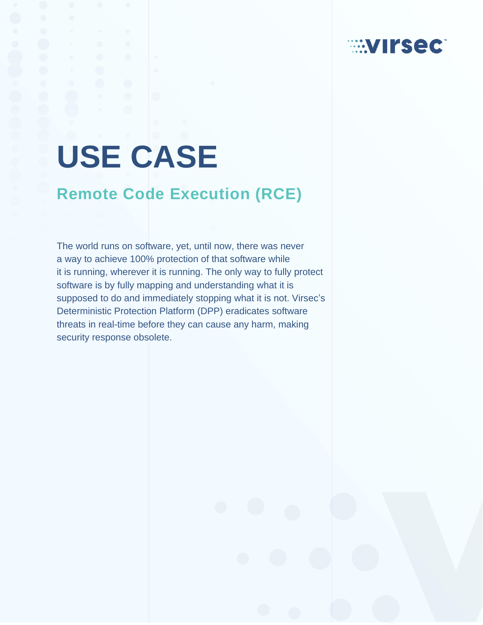# **USE CASE**

## **Remote Code Execution (RCE)**

The world runs on software, yet, until now, there was never a way to achieve 100% protection of that software while it is running, wherever it is running. The only way to fully protect software is by fully mapping and understanding what it is supposed to do and immediately stopping what it is not. Virsec's Deterministic Protection Platform (DPP) eradicates software threats in real-time before they can cause any harm, making security response obsolete.

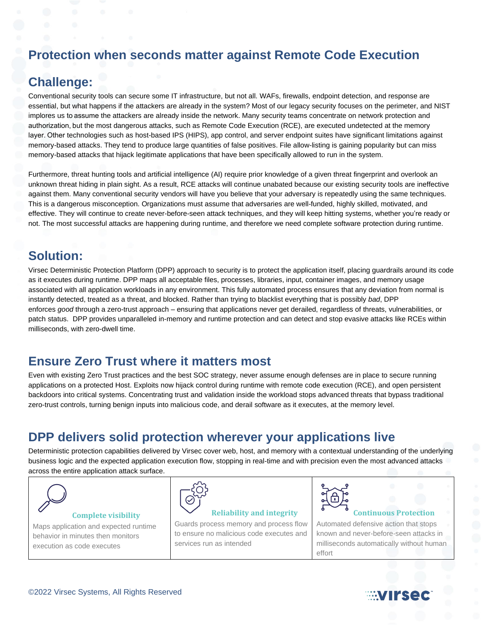## **Protection when seconds matter against Remote Code Execution**

## **Challenge:**

Conventional security tools can secure some IT infrastructure, but not all. WAFs, firewalls, endpoint detection, and response are essential, but what happens if the attackers are already in the system? Most of our legacy security focuses on the perimeter, and NIST implores us to assume the attackers are already inside the network. Many security teams concentrate on network protection and authorization, but the most dangerous attacks, such as Remote Code Execution (RCE), are executed undetected at the memory layer. Other technologies such as host-based IPS (HIPS), app control, and server endpoint suites have significant limitations against memory-based attacks. They tend to produce large quantities of false positives. File allow-listing is gaining popularity but can miss memory-based attacks that hijack legitimate applications that have been specifically allowed to run in the system.

Furthermore, threat hunting tools and artificial intelligence (AI) require prior knowledge of a given threat fingerprint and overlook an unknown threat hiding in plain sight. As a result, RCE attacks will continue unabated because our existing security tools are ineffective against them. Many conventional security vendors will have you believe that your adversary is repeatedly using the same techniques. This is a dangerous misconception. Organizations must assume that adversaries are well-funded, highly skilled, motivated, and effective. They will continue to create never-before-seen attack techniques, and they will keep hitting systems, whether you're ready or not. The most successful attacks are happening during runtime, and therefore we need complete software protection during runtime.

## **Solution:**

Virsec Deterministic Protection Platform (DPP) approach to security is to protect the application itself, placing guardrails around its code as it executes during runtime. DPP maps all acceptable files, processes, libraries, input, container images, and memory usage associated with all application workloads in any environment. This fully automated process ensures that any deviation from normal is instantly detected, treated as a threat, and blocked. Rather than trying to blacklist everything that is possibly *bad*, DPP enforces *good* through a zero-trust approach – ensuring that applications never get derailed, regardless of threats, vulnerabilities, or patch status. DPP provides unparalleled in-memory and runtime protection and can detect and stop evasive attacks like RCEs within milliseconds, with zero-dwell time.

## **Ensure Zero Trust where it matters most**

Even with existing Zero Trust practices and the best SOC strategy, never assume enough defenses are in place to secure running applications on a protected Host. Exploits now hijack control during runtime with remote code execution (RCE), and open persistent backdoors into critical systems. Concentrating trust and validation inside the workload stops advanced threats that bypass traditional zero-trust controls, turning benign inputs into malicious code, and derail software as it executes, at the memory level.

## **DPP delivers solid protection wherever your applications live**

Deterministic protection capabilities delivered by Virsec cover web, host, and memory with a contextual understanding of the underlying business logic and the expected application execution flow, stopping in real-time and with precision even the most advanced attacks across the entire application attack surface.



#### **Complete visibility**

Maps application and expected runtime behavior in minutes then monitors execution as code executes



#### **Reliability and integrity**

Guards process memory and process flow to ensure no malicious code executes and services run as intended



#### **Continuous Protection**

Automated defensive action that stops known and never-before-seen attacks in milliseconds automatically without human effort